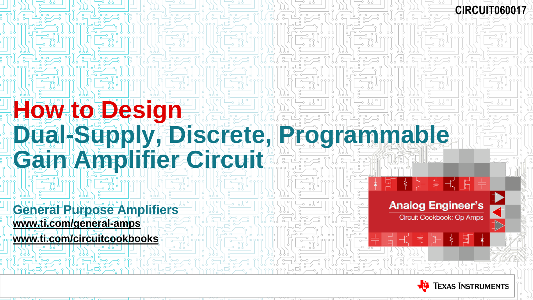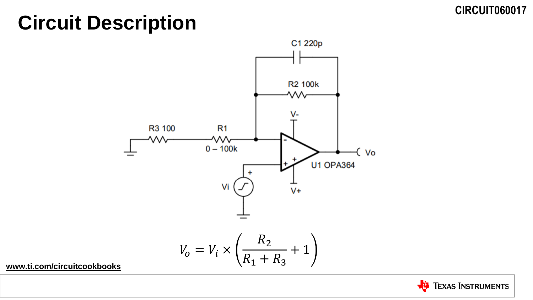## **Circuit Description**



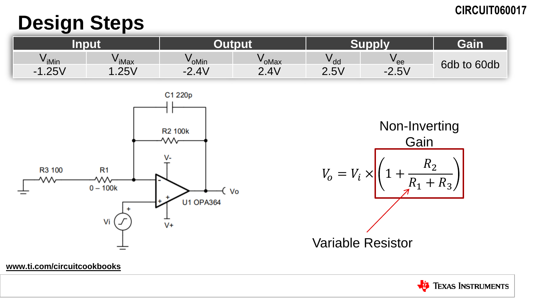## **Design Steps**

| V iMin                           | $\mathsf{v}_{\mathsf{iMax}}$ | V <sub>oMin</sub>        | <b><sup>v</sup>oMax</b> | $V_{\text{d}a}$ | <sup>v</sup> ee                    | 6db<br>to 60db |
|----------------------------------|------------------------------|--------------------------|-------------------------|-----------------|------------------------------------|----------------|
| 251<br>$\blacksquare$<br>۷ ب∠. ا | 251<br>۷ ب∠.                 | 2.4V<br>$\bigcap$<br>$-$ | 2.4V                    | 2.5V            | $5\sqrt{2}$<br>$\Omega$<br>$-2.5V$ |                |





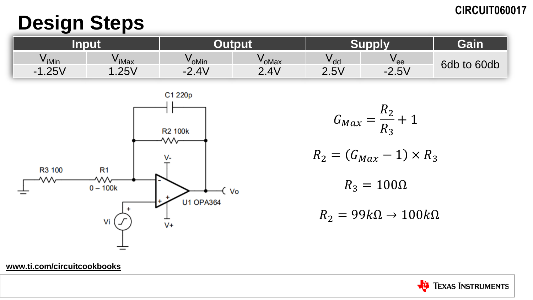## **Design Steps**

**[www.ti.com/circuitcookbooks](http://www.ti.com/circuitcookbooks)**

| V iMin                        | $\mathsf{v}_{\mathsf{iMax}}$ | V <sub>oMin</sub>                | <b><sup>∨</sup>oMax</b> | $V_{\text{dd}}$ | <sup>v</sup> ee                | 6db<br>to 60db |
|-------------------------------|------------------------------|----------------------------------|-------------------------|-----------------|--------------------------------|----------------|
| $\Omega$<br>$\sim$<br>۷ ب∡. ا | 251<br>۷ ب∠.                 | 2.4V<br>$\overline{\phantom{a}}$ | 2.4V                    | 2.5V            | 5V<br>$\Omega$<br>- 1<br>2.U V |                |



 $G_{Max} =$  $R_2$  $R_3$ + 1  $R_2 = (G_{Max} - 1) \times R_3$ 

 $R_3 = 100\Omega$ 

 $R_2 = 99k\Omega \rightarrow 100k\Omega$ 

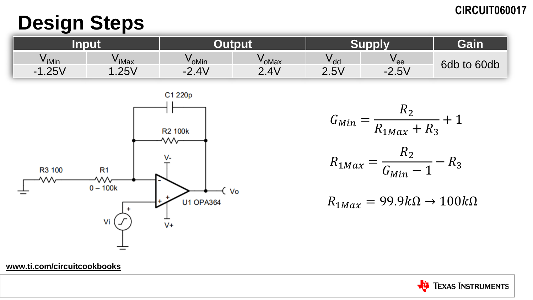## **Design Steps**

|                               |                              |                   |                          |        |                                                      | <b>Cata</b>    |
|-------------------------------|------------------------------|-------------------|--------------------------|--------|------------------------------------------------------|----------------|
| $V$ iMin                      | $\mathsf{v}_{\mathsf{iMax}}$ | V <sub>oMin</sub> | <b><sup>v</sup>oMax</b>  | $V$ dd | <b>v</b> ee                                          | 6db<br>to 60db |
| $\Omega$<br>$\sim$<br>۷ ب∡. ا | 251<br>ा∠ ∪ ∖                | 2.4V<br>- 1       | $\Delta V$<br>⌒<br>Z.4 V | 2.5V   | <b>EV</b><br>◠<br>$\overline{\phantom{0}}$<br>∙∠.⊃ v |                |



$$
G_{Min} = \frac{R_2}{R_{1Max} + R_3} + 1
$$

$$
R_{1Max} = \frac{R_2}{G_{Min} - 1} - R_3
$$

 $R_{1 Max} = 99.9k\Omega \rightarrow 100k\Omega$ 

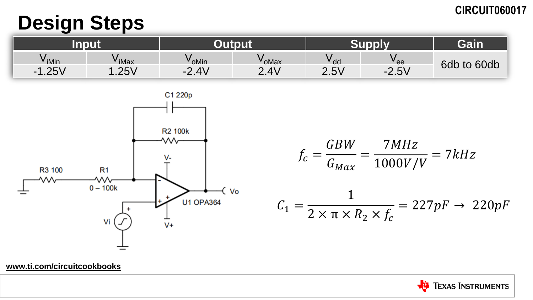## **Design Steps**

| $V$ iMin                       | <sup>v</sup> iMax | V <sub>oMin</sub>                                                     | <b><sup>v</sup>oMax</b> | $V$ <sub>dd</sub> | <b>v</b> ee   | 6db<br>to 60db |
|--------------------------------|-------------------|-----------------------------------------------------------------------|-------------------------|-------------------|---------------|----------------|
| 251<br>$\blacksquare$<br>∨ ب∠. | 251<br>۷ ت∠. ا    | $\Delta V$<br>$\Omega$<br>$\overline{\phantom{a}}$<br><b>΄ 4</b> . ΤΙ | 2.4V                    | 2.5V              | 5V<br>$-2.5v$ |                |



$$
f_c = \frac{GBW}{G_{Max}} = \frac{7MHz}{1000V/V} = 7kHz
$$

$$
C_1 = \frac{1}{2 \times \pi \times R_2 \times f_c} = 227pF \rightarrow 220pF
$$

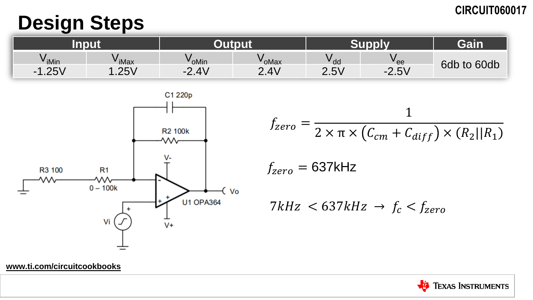## **Design Steps**

| <sup>V</sup> iMin             | $\mathsf{v}_{\mathsf{iMax}}$ | V <sub>oMin</sub>                   | <b><sup>v</sup>oMax</b> | $V$ dd | <b>v</b> ee                                           | 6db<br>to 60db |
|-------------------------------|------------------------------|-------------------------------------|-------------------------|--------|-------------------------------------------------------|----------------|
| $\Omega$<br>$\sim$<br>۷ ب∠. ا | 2F<br>۷ پ∠.                  | $\Delta$<br>$\bigcap$<br>- 1<br>L.T | $\Delta V$<br>⌒<br>2.4v | 2.5V   | $\sim$ כ $\sim$<br>$\overline{\phantom{a}}$<br>∙∠.⊃ v |                |



 $f_{zero} =$ 1  $2 \times \pi \times (C_{cm} + C_{diff}) \times (R_2||R_1)$  $f_{zero} = 637$ kHz 7kHz  $< 637kHz \rightarrow f_c < f_{zero}$ 

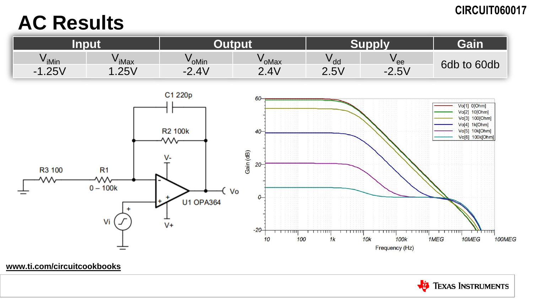## **AC Results**

| $V$ iMin                         | $\mathsf{v}_{\mathsf{iMax}}$ | V <sub>oMin</sub>                             | ' oMax                    | v <sub>dd</sub> | <sup>v</sup> ee                        |                |
|----------------------------------|------------------------------|-----------------------------------------------|---------------------------|-----------------|----------------------------------------|----------------|
| 251<br>$\blacksquare$<br>۷ ب∠. ا | 251<br>۷ ب∠.                 | $\Delta$<br>$\bigcap$<br>$-$<br>$L \cdot T$ y | $\Delta V$<br>C.<br>2.T V | 2.5V            | $F \setminus I$<br>$\Omega$<br>$-2.5V$ | 6db<br>to 60db |



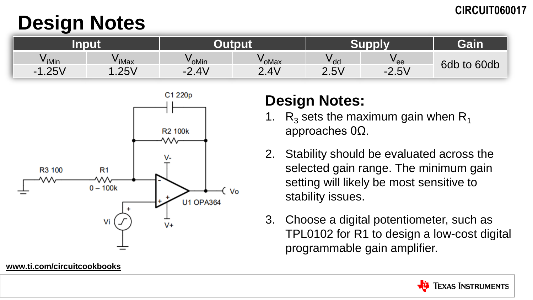## **Design Notes**

|                                                 |                             |                         |                         |                   |         | Cair    |
|-------------------------------------------------|-----------------------------|-------------------------|-------------------------|-------------------|---------|---------|
| $\overline{\phantom{a}}$<br>$V$ <sub>iMin</sub> | ' iMax                      | $V_{\text{OMin}}$       | <b><sup>∨</sup>oMax</b> | $V$ <sub>dd</sub> | " ee    | 6db     |
| 251<br>$\sim$ 1<br>∖ ∪∡.                        | 251<br>$\sim$ $\sim$ $\sim$ | 2.4V<br>$\Omega$<br>$-$ | $\Lambda$<br>⌒          | 2.5V              | $-2.5V$ | to 60db |



#### **[www.ti.com/circuitcookbooks](http://www.ti.com/circuitcookbooks)**

### **Design Notes:**

- 1.  $R_3$  sets the maximum gain when  $R_4$ approaches 0Ω.
- 2. Stability should be evaluated across the selected gain range. The minimum gain setting will likely be most sensitive to stability issues.
- 3. Choose a digital potentiometer, such as TPL0102 for R1 to design a low-cost digital programmable gain amplifier.

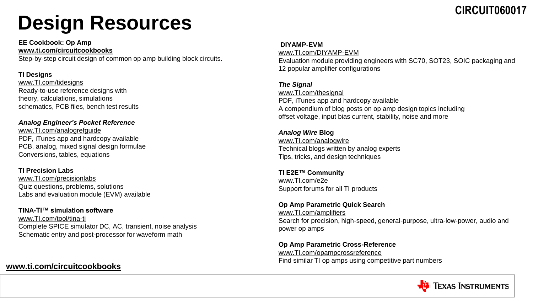# **Design Resources**

**EE Cookbook: Op Amp [www.ti.com/circuitcookbooks](http://www.ti.com/circuitcookbooks)**

Step-by-step circuit design of common op amp building block circuits.

#### **TI Designs**

[www.TI.com/tidesigns](http://www.ti.com/tidesigns) Ready-to-use reference designs with theory, calculations, simulations schematics, PCB files, bench test results

#### *Analog Engineer's Pocket Reference*

[www.TI.com/analogrefguide](http://www.ti.com/analogrefguide) PDF, iTunes app and hardcopy available PCB, analog, mixed signal design formulae Conversions, tables, equations

#### **TI Precision Labs**

[www.TI.com/precisionlabs](http://www.ti.com/precisionlabs) Quiz questions, problems, solutions Labs and evaluation module (EVM) available

#### **TINA-TI™ simulation software**

[www.TI.com/tool/tina-ti](http://www.ti.com/tool/tina-ti) Complete SPICE simulator DC, AC, transient, noise analysis Schematic entry and post-processor for waveform math

#### **[www.ti.com/circuitcookbooks](http://www.ti.com/circuitcookbooks)**

#### **DIYAMP-EVM**

[www.TI.com/DIYAMP-EVM](http://www.ti.com/DIYAMP-EVM) Evaluation module providing engineers with SC70, SOT23, SOIC packaging and 12 popular amplifier configurations

#### *The Signal*

[www.TI.com/thesignal](http://www.ti.com/signalbook) PDF, iTunes app and hardcopy available A compendium of blog posts on op amp design topics including offset voltage, input bias current, stability, noise and more

#### *Analog Wire* **Blog** [www.TI.com/analogwire](http://www.ti.com/analogwire) Technical blogs written by analog experts Tips, tricks, and design techniques

**TI E2E™ Community** [www.TI.com/e2e](http://www.ti.com/e2e) Support forums for all TI products

#### **Op Amp Parametric Quick Search**

[www.TI.com/amplifiers](http://www.ti.com/amplifiers) Search for precision, high-speed, general-purpose, ultra-low-power, audio and power op amps

#### **Op Amp Parametric Cross-Reference** [www.TI.com/opampcrossreference](http://www.ti.com/opampcrossreference) Find similar TI op amps using competitive part numbers